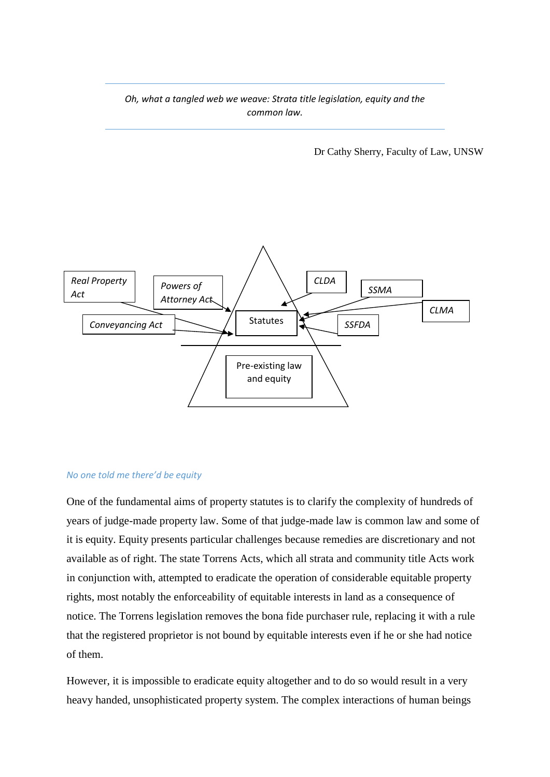*Oh, what a tangled web we weave: Strata title legislation, equity and the common law.*

Dr Cathy Sherry, Faculty of Law, UNSW



#### *No one told me there'd be equity*

One of the fundamental aims of property statutes is to clarify the complexity of hundreds of years of judge-made property law. Some of that judge-made law is common law and some of it is equity. Equity presents particular challenges because remedies are discretionary and not available as of right. The state Torrens Acts, which all strata and community title Acts work in conjunction with, attempted to eradicate the operation of considerable equitable property rights, most notably the enforceability of equitable interests in land as a consequence of notice. The Torrens legislation removes the bona fide purchaser rule, replacing it with a rule that the registered proprietor is not bound by equitable interests even if he or she had notice of them.

However, it is impossible to eradicate equity altogether and to do so would result in a very heavy handed, unsophisticated property system. The complex interactions of human beings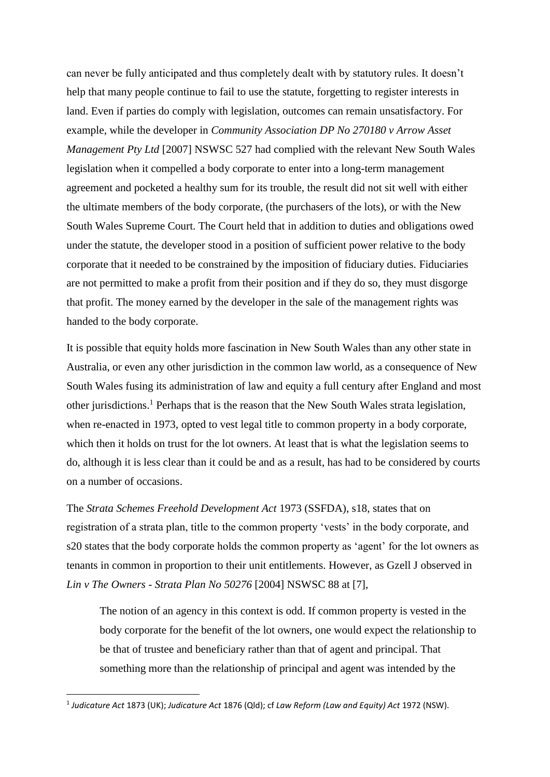can never be fully anticipated and thus completely dealt with by statutory rules. It doesn't help that many people continue to fail to use the statute, forgetting to register interests in land. Even if parties do comply with legislation, outcomes can remain unsatisfactory. For example, while the developer in *Community Association DP No 270180 v Arrow Asset Management Pty Ltd* [2007] NSWSC 527 had complied with the relevant New South Wales legislation when it compelled a body corporate to enter into a long-term management agreement and pocketed a healthy sum for its trouble, the result did not sit well with either the ultimate members of the body corporate, (the purchasers of the lots), or with the New South Wales Supreme Court. The Court held that in addition to duties and obligations owed under the statute, the developer stood in a position of sufficient power relative to the body corporate that it needed to be constrained by the imposition of fiduciary duties. Fiduciaries are not permitted to make a profit from their position and if they do so, they must disgorge that profit. The money earned by the developer in the sale of the management rights was handed to the body corporate.

It is possible that equity holds more fascination in New South Wales than any other state in Australia, or even any other jurisdiction in the common law world, as a consequence of New South Wales fusing its administration of law and equity a full century after England and most other jurisdictions. <sup>1</sup> Perhaps that is the reason that the New South Wales strata legislation, when re-enacted in 1973, opted to vest legal title to common property in a body corporate, which then it holds on trust for the lot owners. At least that is what the legislation seems to do, although it is less clear than it could be and as a result, has had to be considered by courts on a number of occasions.

The *Strata Schemes Freehold Development Act* 1973 (SSFDA), s18, states that on registration of a strata plan, title to the common property 'vests' in the body corporate, and s20 states that the body corporate holds the common property as 'agent' for the lot owners as tenants in common in proportion to their unit entitlements. However, as Gzell J observed in *Lin v The Owners - Strata Plan No 50276* [2004] NSWSC 88 at [7],

The notion of an agency in this context is odd. If common property is vested in the body corporate for the benefit of the lot owners, one would expect the relationship to be that of trustee and beneficiary rather than that of agent and principal. That something more than the relationship of principal and agent was intended by the

<sup>1</sup> *Judicature Act* 1873 (UK); *Judicature Act* 1876 (Qld); cf *Law Reform (Law and Equity) Act* 1972 (NSW).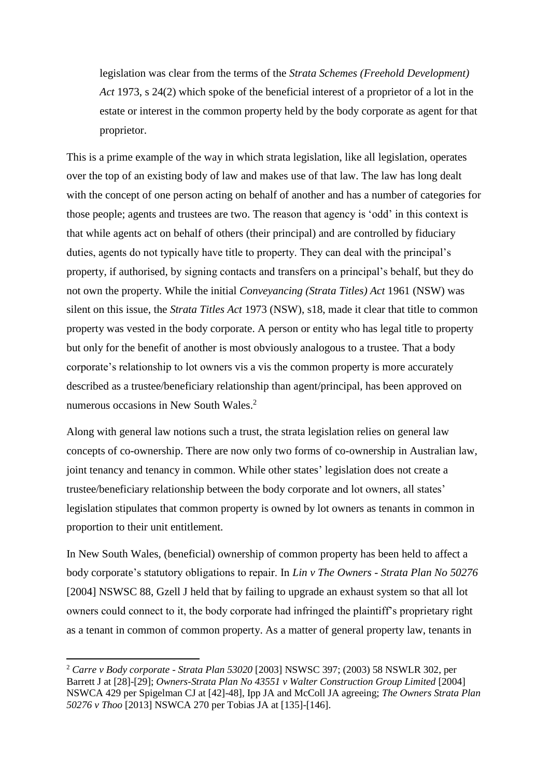legislation was clear from the terms of the *[Strata Schemes \(Freehold Development\)](http://www.austlii.edu.au/au/legis/nsw/consol_act/ssda1973344/)  [Act](http://www.austlii.edu.au/au/legis/nsw/consol_act/ssda1973344/)* 1973, s 24(2) which spoke of the beneficial interest of a proprietor of a lot in the estate or interest in the common property held by the body corporate as agent for that proprietor.

This is a prime example of the way in which strata legislation, like all legislation, operates over the top of an existing body of law and makes use of that law. The law has long dealt with the concept of one person acting on behalf of another and has a number of categories for those people; agents and trustees are two. The reason that agency is 'odd' in this context is that while agents act on behalf of others (their principal) and are controlled by fiduciary duties, agents do not typically have title to property. They can deal with the principal's property, if authorised, by signing contacts and transfers on a principal's behalf, but they do not own the property. While the initial *Conveyancing (Strata Titles) Act* 1961 (NSW) was silent on this issue, the *Strata Titles Act* 1973 (NSW), s18, made it clear that title to common property was vested in the body corporate. A person or entity who has legal title to property but only for the benefit of another is most obviously analogous to a trustee. That a body corporate's relationship to lot owners vis a vis the common property is more accurately described as a trustee/beneficiary relationship than agent/principal, has been approved on numerous occasions in New South Wales.<sup>2</sup>

Along with general law notions such a trust, the strata legislation relies on general law concepts of co-ownership. There are now only two forms of co-ownership in Australian law, joint tenancy and tenancy in common. While other states' legislation does not create a trustee/beneficiary relationship between the body corporate and lot owners, all states' legislation stipulates that common property is owned by lot owners as tenants in common in proportion to their unit entitlement.

In New South Wales, (beneficial) ownership of common property has been held to affect a body corporate's statutory obligations to repair. In *Lin v The Owners - Strata Plan No 50276* [2004] NSWSC 88, Gzell J held that by failing to upgrade an exhaust system so that all lot owners could connect to it, the body corporate had infringed the plaintiff's proprietary right as a tenant in common of common property. As a matter of general property law, tenants in

<sup>2</sup> *Carre v Body corporate - Strata Plan 53020* [2003] NSWSC 397; (2003) 58 NSWLR 302, per Barrett J at [28]-[29]; *Owners-Strata Plan No 43551 v Walter Construction Group Limited* [2004] NSWCA 429 per Spigelman CJ at [42]-48], Ipp JA and McColl JA agreeing; *The Owners Strata Plan 50276 v Thoo* [2013] NSWCA 270 per Tobias JA at [135]-[146].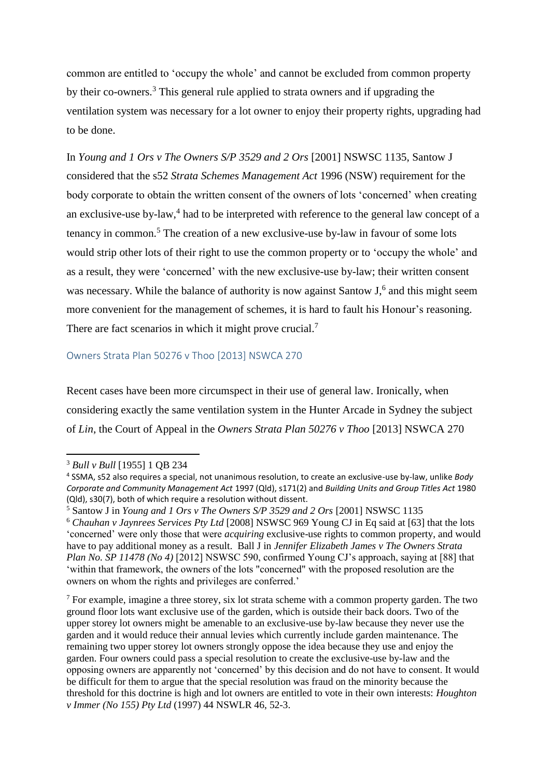common are entitled to 'occupy the whole' and cannot be excluded from common property by their co-owners.<sup>3</sup> This general rule applied to strata owners and if upgrading the ventilation system was necessary for a lot owner to enjoy their property rights, upgrading had to be done.

In *Young and 1 Ors v The Owners S/P 3529 and 2 Ors* [2001] NSWSC 1135, Santow J considered that the s52 *Strata Schemes Management Act* 1996 (NSW) requirement for the body corporate to obtain the written consent of the owners of lots 'concerned' when creating an exclusive-use by-law, 4 had to be interpreted with reference to the general law concept of a tenancy in common.<sup>5</sup> The creation of a new exclusive-use by-law in favour of some lots would strip other lots of their right to use the common property or to 'occupy the whole' and as a result, they were 'concerned' with the new exclusive-use by-law; their written consent was necessary. While the balance of authority is now against Santow J,<sup>6</sup> and this might seem more convenient for the management of schemes, it is hard to fault his Honour's reasoning. There are fact scenarios in which it might prove crucial.<sup>7</sup>

### Owners Strata Plan 50276 v Thoo [2013] NSWCA 270

Recent cases have been more circumspect in their use of general law. Ironically, when considering exactly the same ventilation system in the Hunter Arcade in Sydney the subject of *Lin*, the Court of Appeal in the *Owners Strata Plan 50276 v Thoo* [2013] NSWCA 270

1

<sup>3</sup> *Bull v Bull* [1955] 1 QB 234

<sup>4</sup> SSMA, s52 also requires a special, not unanimous resolution, to create an exclusive-use by-law, unlike *Body Corporate and Community Management Act* 1997 (Qld), s171(2) and *Building Units and Group Titles Act* 1980 (Qld), s30(7), both of which require a resolution without dissent.

<sup>5</sup> Santow J in *Young and 1 Ors v The Owners S/P 3529 and 2 Ors* [2001] NSWSC 1135

<sup>6</sup> *Chauhan v Jaynrees Services Pty Ltd* [2008] NSWSC 969 Young CJ in Eq said at [63] that the lots 'concerned' were only those that were *acquiring* exclusive-use rights to common property, and would have to pay additional money as a result. Ball J in *Jennifer Elizabeth James v The Owners Strata Plan No. SP 11478 (No 4)* [2012] NSWSC 590, confirmed Young CJ's approach, saying at [88] that 'within that framework, the owners of the lots "concerned" with the proposed resolution are the owners on whom the rights and privileges are conferred.'

 $<sup>7</sup>$  For example, imagine a three storey, six lot strata scheme with a common property garden. The two</sup> ground floor lots want exclusive use of the garden, which is outside their back doors. Two of the upper storey lot owners might be amenable to an exclusive-use by-law because they never use the garden and it would reduce their annual levies which currently include garden maintenance. The remaining two upper storey lot owners strongly oppose the idea because they use and enjoy the garden. Four owners could pass a special resolution to create the exclusive-use by-law and the opposing owners are apparently not 'concerned' by this decision and do not have to consent. It would be difficult for them to argue that the special resolution was fraud on the minority because the threshold for this doctrine is high and lot owners are entitled to vote in their own interests: *Houghton v Immer (No 155) Pty Ltd* (1997) 44 NSWLR 46, 52-3.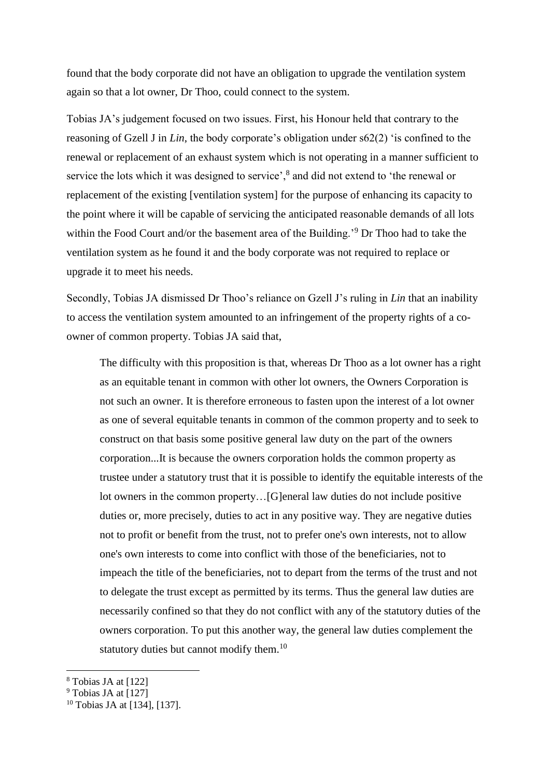found that the body corporate did not have an obligation to upgrade the ventilation system again so that a lot owner, Dr Thoo, could connect to the system.

Tobias JA's judgement focused on two issues. First, his Honour held that contrary to the reasoning of Gzell J in *Lin*, the body corporate's obligation under s62(2) 'is confined to the renewal or replacement of an exhaust system which is not operating in a manner sufficient to service the lots which it was designed to service',<sup>8</sup> and did not extend to 'the renewal or replacement of the existing [ventilation system] for the purpose of enhancing its capacity to the point where it will be capable of servicing the anticipated reasonable demands of all lots within the Food Court and/or the basement area of the Building.<sup>'9</sup> Dr Thoo had to take the ventilation system as he found it and the body corporate was not required to replace or upgrade it to meet his needs.

Secondly, Tobias JA dismissed Dr Thoo's reliance on Gzell J's ruling in *Lin* that an inability to access the ventilation system amounted to an infringement of the property rights of a coowner of common property. Tobias JA said that,

The difficulty with this proposition is that, whereas Dr Thoo as a lot owner has a right as an equitable tenant in common with other lot owners, the Owners Corporation is not such an owner. It is therefore erroneous to fasten upon the interest of a lot owner as one of several equitable tenants in common of the common property and to seek to construct on that basis some positive general law duty on the part of the owners corporation...It is because the owners corporation holds the common property as trustee under a statutory trust that it is possible to identify the equitable interests of the lot owners in the common property…[G]eneral law duties do not include positive duties or, more precisely, duties to act in any positive way. They are negative duties not to profit or benefit from the trust, not to prefer one's own interests, not to allow one's own interests to come into conflict with those of the beneficiaries, not to impeach the title of the beneficiaries, not to depart from the terms of the trust and not to delegate the trust except as permitted by its terms. Thus the general law duties are necessarily confined so that they do not conflict with any of the statutory duties of the owners corporation. To put this another way, the general law duties complement the statutory duties but cannot modify them.<sup>10</sup>

<sup>8</sup> Tobias JA at [122]

 $\overline{a}$ 

 $9$  Tobias JA at [127]

<sup>10</sup> Tobias JA at [134], [137].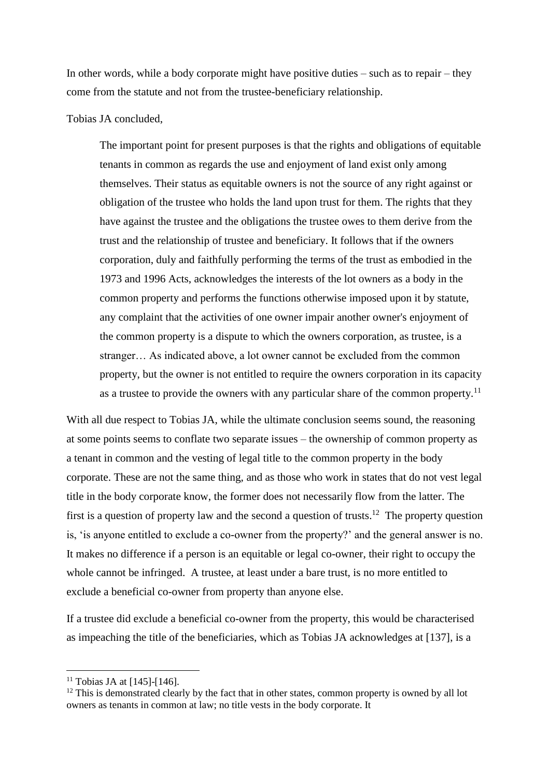In other words, while a body corporate might have positive duties – such as to repair – they come from the statute and not from the trustee-beneficiary relationship.

#### Tobias JA concluded,

The important point for present purposes is that the rights and obligations of equitable tenants in common as regards the use and enjoyment of land exist only among themselves. Their status as equitable owners is not the source of any right against or obligation of the trustee who holds the land upon trust for them. The rights that they have against the trustee and the obligations the trustee owes to them derive from the trust and the relationship of trustee and beneficiary. It follows that if the owners corporation, duly and faithfully performing the terms of the trust as embodied in the 1973 and 1996 Acts, acknowledges the interests of the lot owners as a body in the common property and performs the functions otherwise imposed upon it by statute, any complaint that the activities of one owner impair another owner's enjoyment of the common property is a dispute to which the owners corporation, as trustee, is a stranger… As indicated above, a lot owner cannot be excluded from the common property, but the owner is not entitled to require the owners corporation in its capacity as a trustee to provide the owners with any particular share of the common property.<sup>11</sup>

With all due respect to Tobias JA, while the ultimate conclusion seems sound, the reasoning at some points seems to conflate two separate issues – the ownership of common property as a tenant in common and the vesting of legal title to the common property in the body corporate. These are not the same thing, and as those who work in states that do not vest legal title in the body corporate know, the former does not necessarily flow from the latter. The first is a question of property law and the second a question of trusts.<sup>12</sup> The property question is, 'is anyone entitled to exclude a co-owner from the property?' and the general answer is no. It makes no difference if a person is an equitable or legal co-owner, their right to occupy the whole cannot be infringed. A trustee, at least under a bare trust, is no more entitled to exclude a beneficial co-owner from property than anyone else.

If a trustee did exclude a beneficial co-owner from the property, this would be characterised as impeaching the title of the beneficiaries, which as Tobias JA acknowledges at [137], is a

 $\overline{a}$ 

 $11$  Tobias JA at [145]-[146].

 $12$  This is demonstrated clearly by the fact that in other states, common property is owned by all lot owners as tenants in common at law; no title vests in the body corporate. It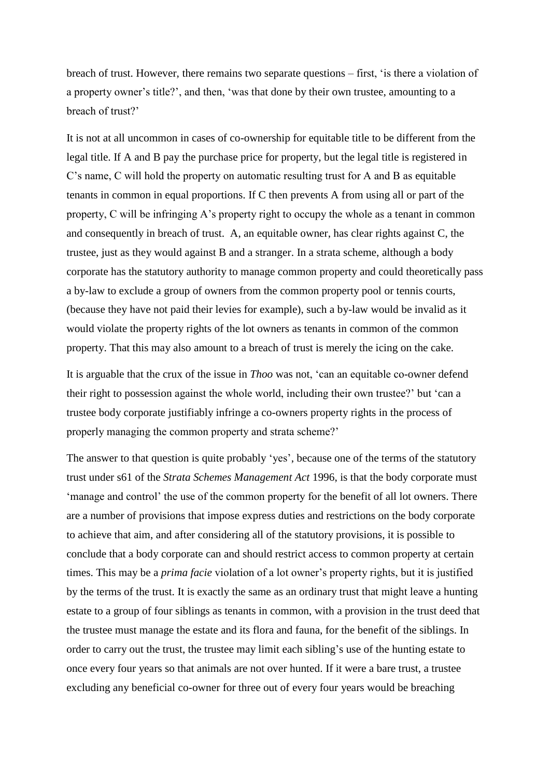breach of trust. However, there remains two separate questions – first, 'is there a violation of a property owner's title?', and then, 'was that done by their own trustee, amounting to a breach of trust?'

It is not at all uncommon in cases of co-ownership for equitable title to be different from the legal title. If A and B pay the purchase price for property, but the legal title is registered in C's name, C will hold the property on automatic resulting trust for A and B as equitable tenants in common in equal proportions. If C then prevents A from using all or part of the property, C will be infringing A's property right to occupy the whole as a tenant in common and consequently in breach of trust. A, an equitable owner, has clear rights against C, the trustee, just as they would against B and a stranger. In a strata scheme, although a body corporate has the statutory authority to manage common property and could theoretically pass a by-law to exclude a group of owners from the common property pool or tennis courts, (because they have not paid their levies for example), such a by-law would be invalid as it would violate the property rights of the lot owners as tenants in common of the common property. That this may also amount to a breach of trust is merely the icing on the cake.

It is arguable that the crux of the issue in *Thoo* was not, 'can an equitable co-owner defend their right to possession against the whole world, including their own trustee?' but 'can a trustee body corporate justifiably infringe a co-owners property rights in the process of properly managing the common property and strata scheme?'

The answer to that question is quite probably 'yes', because one of the terms of the statutory trust under s61 of the *Strata Schemes Management Act* 1996, is that the body corporate must 'manage and control' the use of the common property for the benefit of all lot owners. There are a number of provisions that impose express duties and restrictions on the body corporate to achieve that aim, and after considering all of the statutory provisions, it is possible to conclude that a body corporate can and should restrict access to common property at certain times. This may be a *prima facie* violation of a lot owner's property rights, but it is justified by the terms of the trust. It is exactly the same as an ordinary trust that might leave a hunting estate to a group of four siblings as tenants in common, with a provision in the trust deed that the trustee must manage the estate and its flora and fauna, for the benefit of the siblings. In order to carry out the trust, the trustee may limit each sibling's use of the hunting estate to once every four years so that animals are not over hunted. If it were a bare trust, a trustee excluding any beneficial co-owner for three out of every four years would be breaching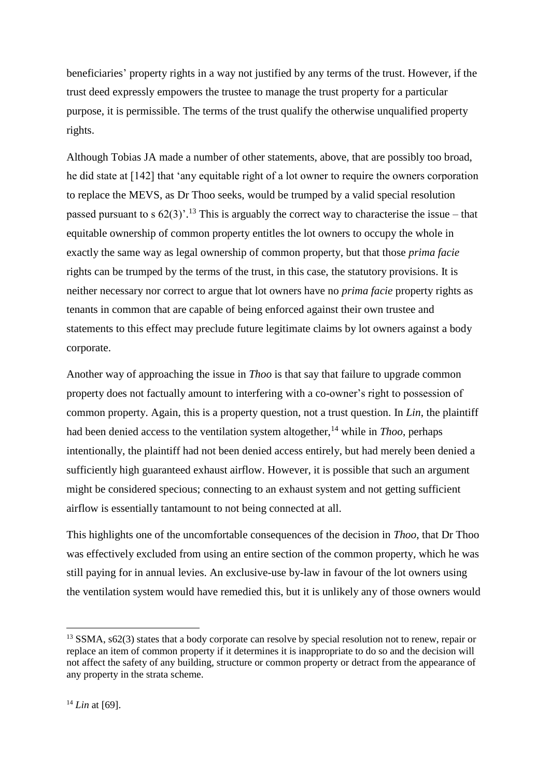beneficiaries' property rights in a way not justified by any terms of the trust. However, if the trust deed expressly empowers the trustee to manage the trust property for a particular purpose, it is permissible. The terms of the trust qualify the otherwise unqualified property rights.

Although Tobias JA made a number of other statements, above, that are possibly too broad, he did state at [142] that 'any equitable right of a lot owner to require the owners corporation to replace the MEVS, as Dr Thoo seeks, would be trumped by a valid special resolution passed pursuant to s  $62(3)$ <sup>'. 13</sup> This is arguably the correct way to characterise the issue – that equitable ownership of common property entitles the lot owners to occupy the whole in exactly the same way as legal ownership of common property, but that those *prima facie* rights can be trumped by the terms of the trust, in this case, the statutory provisions. It is neither necessary nor correct to argue that lot owners have no *prima facie* property rights as tenants in common that are capable of being enforced against their own trustee and statements to this effect may preclude future legitimate claims by lot owners against a body corporate.

Another way of approaching the issue in *Thoo* is that say that failure to upgrade common property does not factually amount to interfering with a co-owner's right to possession of common property. Again, this is a property question, not a trust question. In *Lin*, the plaintiff had been denied access to the ventilation system altogether, <sup>14</sup> while in *Thoo*, perhaps intentionally, the plaintiff had not been denied access entirely, but had merely been denied a sufficiently high guaranteed exhaust airflow. However, it is possible that such an argument might be considered specious; connecting to an exhaust system and not getting sufficient airflow is essentially tantamount to not being connected at all.

This highlights one of the uncomfortable consequences of the decision in *Thoo*, that Dr Thoo was effectively excluded from using an entire section of the common property, which he was still paying for in annual levies. An exclusive-use by-law in favour of the lot owners using the ventilation system would have remedied this, but it is unlikely any of those owners would

<sup>&</sup>lt;sup>13</sup> SSMA, s62(3) states that a body corporate can resolve by special resolution not to renew, repair or replace an item of common property if it determines it is inappropriate to do so and the decision will not affect the safety of any building, structure or common property or detract from the appearance of any property in the strata scheme.

<sup>14</sup> *Lin* at [69].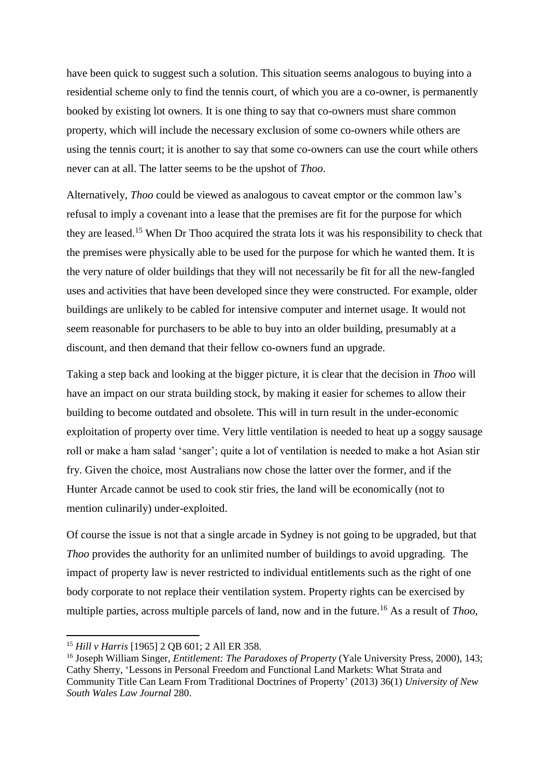have been quick to suggest such a solution. This situation seems analogous to buying into a residential scheme only to find the tennis court, of which you are a co-owner, is permanently booked by existing lot owners. It is one thing to say that co-owners must share common property, which will include the necessary exclusion of some co-owners while others are using the tennis court; it is another to say that some co-owners can use the court while others never can at all. The latter seems to be the upshot of *Thoo*.

Alternatively, *Thoo* could be viewed as analogous to caveat emptor or the common law's refusal to imply a covenant into a lease that the premises are fit for the purpose for which they are leased.<sup>15</sup> When Dr Thoo acquired the strata lots it was his responsibility to check that the premises were physically able to be used for the purpose for which he wanted them. It is the very nature of older buildings that they will not necessarily be fit for all the new-fangled uses and activities that have been developed since they were constructed. For example, older buildings are unlikely to be cabled for intensive computer and internet usage. It would not seem reasonable for purchasers to be able to buy into an older building, presumably at a discount, and then demand that their fellow co-owners fund an upgrade.

Taking a step back and looking at the bigger picture, it is clear that the decision in *Thoo* will have an impact on our strata building stock, by making it easier for schemes to allow their building to become outdated and obsolete. This will in turn result in the under-economic exploitation of property over time. Very little ventilation is needed to heat up a soggy sausage roll or make a ham salad 'sanger'; quite a lot of ventilation is needed to make a hot Asian stir fry. Given the choice, most Australians now chose the latter over the former, and if the Hunter Arcade cannot be used to cook stir fries, the land will be economically (not to mention culinarily) under-exploited.

Of course the issue is not that a single arcade in Sydney is not going to be upgraded, but that *Thoo* provides the authority for an unlimited number of buildings to avoid upgrading. The impact of property law is never restricted to individual entitlements such as the right of one body corporate to not replace their ventilation system. Property rights can be exercised by multiple parties, across multiple parcels of land, now and in the future.<sup>16</sup> As a result of *Thoo*,

<sup>15</sup> *Hill v Harris* [1965] 2 QB 601; 2 All ER 358.

<sup>16</sup> Joseph William Singer, *Entitlement: The Paradoxes of Property* (Yale University Press, 2000), 143; Cathy Sherry, 'Lessons in Personal Freedom and Functional Land Markets: What Strata and Community Title Can Learn From Traditional Doctrines of Property' (2013) 36(1) *University of New South Wales Law Journal* 280.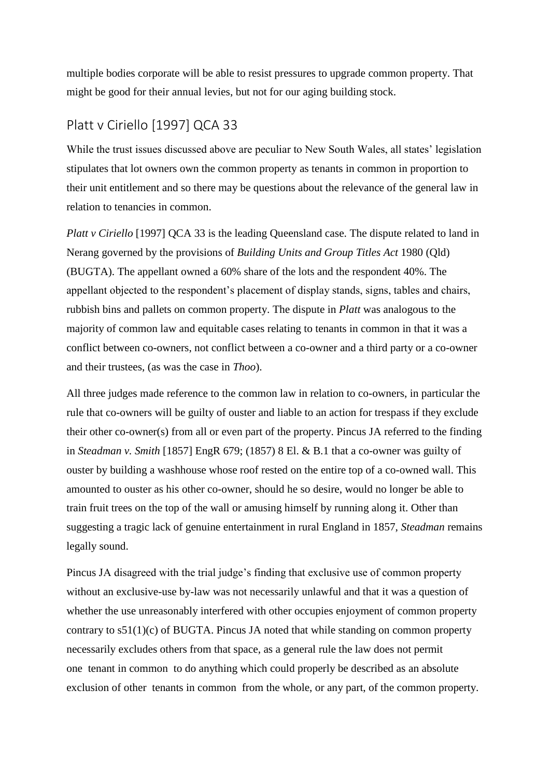multiple bodies corporate will be able to resist pressures to upgrade common property. That might be good for their annual levies, but not for our aging building stock.

# Platt v Ciriello [1997] QCA 33

While the trust issues discussed above are peculiar to New South Wales, all states' legislation stipulates that lot owners own the common property as tenants in common in proportion to their unit entitlement and so there may be questions about the relevance of the general law in relation to tenancies in common.

*Platt v Ciriello* [1997] QCA 33 is the leading Queensland case. The dispute related to land in Nerang governed by the provisions of *[Building Units and Group Titles Act](http://www.austlii.edu.au/au/legis/qld/consol_act/buagta1980336/)* 1980 (Qld) (BUGTA). The appellant owned a 60% share of the lots and the respondent 40%. The appellant objected to the respondent's placement of display stands, signs, tables and chairs, rubbish bins and pallets on common property. The dispute in *Platt* was analogous to the majority of common law and equitable cases relating to tenants in common in that it was a conflict between co-owners, not conflict between a co-owner and a third party or a co-owner and their trustees, (as was the case in *Thoo*).

All three judges made reference to the common law in relation to co-owners, in particular the rule that co-owners will be guilty of ouster and liable to an action for trespass if they exclude their other co-owner(s) from all or even part of the property. Pincus JA referred to the finding in *Steadman v. Smith* [\[1857\] EngR 679;](http://www.worldlii.org/int/cases/EngR/1857/679.html) (1857) 8 El. & B.1 that a co-owner was guilty of ouster by building a washhouse whose roof rested on the entire top of a co-owned wall. This amounted to ouster as his other co-owner, should he so desire, would no longer be able to train fruit trees on the top of the wall or amusing himself by running along it. Other than suggesting a tragic lack of genuine entertainment in rural England in 1857, *Steadman* remains legally sound.

Pincus JA disagreed with the trial judge's finding that exclusive use of common property without an exclusive-use by-law was not necessarily unlawful and that it was a question of whether the use unreasonably interfered with other occupies enjoyment of common property contrary to  $s51(1)(c)$  of BUGTA. Pincus JA noted that while standing on common property necessarily excludes others from that space, as a general rule the law does not permit one tenant in common to do anything which could properly be described as an absolute exclusion of other tenants in common from the whole, or any part, of the common property.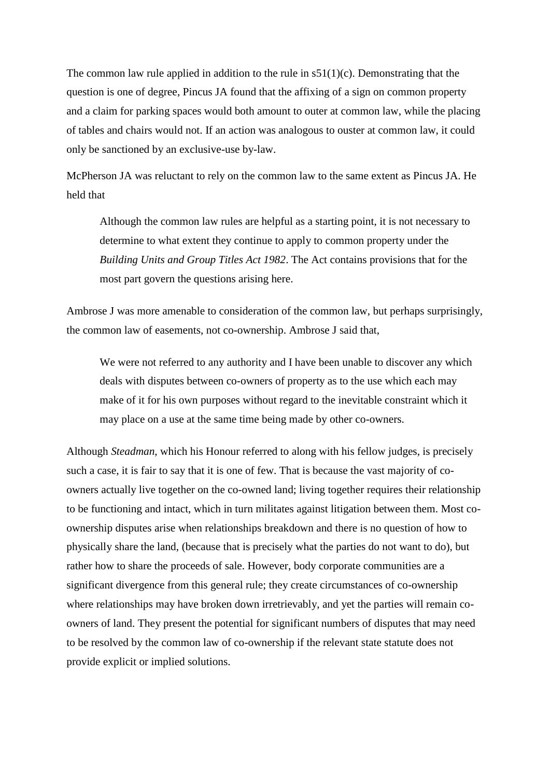The common law rule applied in addition to the rule in  $s51(1)(c)$ . Demonstrating that the question is one of degree, Pincus JA found that the affixing of a sign on common property and a claim for parking spaces would both amount to outer at common law, while the placing of tables and chairs would not. If an action was analogous to ouster at common law, it could only be sanctioned by an exclusive-use by-law.

McPherson JA was reluctant to rely on the common law to the same extent as Pincus JA. He held that

Although the common law rules are helpful as a starting point, it is not necessary to determine to what extent they continue to apply to common property under the *Building Units and Group Titles Act 1982*. The Act contains provisions that for the most part govern the questions arising here.

Ambrose J was more amenable to consideration of the common law, but perhaps surprisingly, the common law of easements, not co-ownership. Ambrose J said that,

We were not referred to any authority and I have been unable to discover any which deals with disputes between co-owners of property as to the use which each may make of it for his own purposes without regard to the inevitable constraint which it may place on a use at the same time being made by other co-owners.

Although *Steadman*, which his Honour referred to along with his fellow judges, is precisely such a case, it is fair to say that it is one of few. That is because the vast majority of coowners actually live together on the co-owned land; living together requires their relationship to be functioning and intact, which in turn militates against litigation between them. Most coownership disputes arise when relationships breakdown and there is no question of how to physically share the land, (because that is precisely what the parties do not want to do), but rather how to share the proceeds of sale. However, body corporate communities are a significant divergence from this general rule; they create circumstances of co-ownership where relationships may have broken down irretrievably, and yet the parties will remain coowners of land. They present the potential for significant numbers of disputes that may need to be resolved by the common law of co-ownership if the relevant state statute does not provide explicit or implied solutions.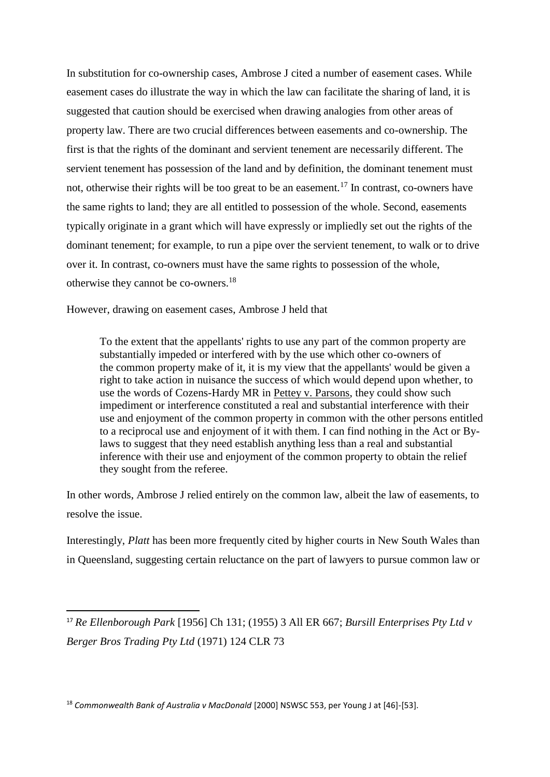In substitution for co-ownership cases, Ambrose J cited a number of easement cases. While easement cases do illustrate the way in which the law can facilitate the sharing of land, it is suggested that caution should be exercised when drawing analogies from other areas of property law. There are two crucial differences between easements and co-ownership. The first is that the rights of the dominant and servient tenement are necessarily different. The servient tenement has possession of the land and by definition, the dominant tenement must not, otherwise their rights will be too great to be an easement.<sup>17</sup> In contrast, co-owners have the same rights to land; they are all entitled to possession of the whole. Second, easements typically originate in a grant which will have expressly or impliedly set out the rights of the dominant tenement; for example, to run a pipe over the servient tenement, to walk or to drive over it. In contrast, co-owners must have the same rights to possession of the whole, otherwise they cannot be co-owners.<sup>18</sup>

However, drawing on easement cases, Ambrose J held that

1

To the extent that the appellants' rights to use any part of the common property are substantially impeded or interfered with by the use which other co-owners of the common property make of it, it is my view that the appellants' would be given a right to take action in nuisance the success of which would depend upon whether, to use the words of Cozens-Hardy MR in Pettey v. Parsons, they could show such impediment or interference constituted a real and substantial interference with their use and enjoyment of the common property in common with the other persons entitled to a reciprocal use and enjoyment of it with them. I can find nothing in the Act or Bylaws to suggest that they need establish anything less than a real and substantial inference with their use and enjoyment of the common property to obtain the relief they sought from the referee.

In other words, Ambrose J relied entirely on the common law, albeit the law of easements, to resolve the issue.

Interestingly, *Platt* has been more frequently cited by higher courts in New South Wales than in Queensland, suggesting certain reluctance on the part of lawyers to pursue common law or

<sup>18</sup> *Commonwealth Bank of Australia v MacDonald* [2000] NSWSC 553, per Young J at [46]-[53].

<sup>17</sup> *Re Ellenborough Park* [1956] Ch 131; (1955) 3 All ER 667; *Bursill Enterprises Pty Ltd v Berger Bros Trading Pty Ltd* (1971) 124 CLR 73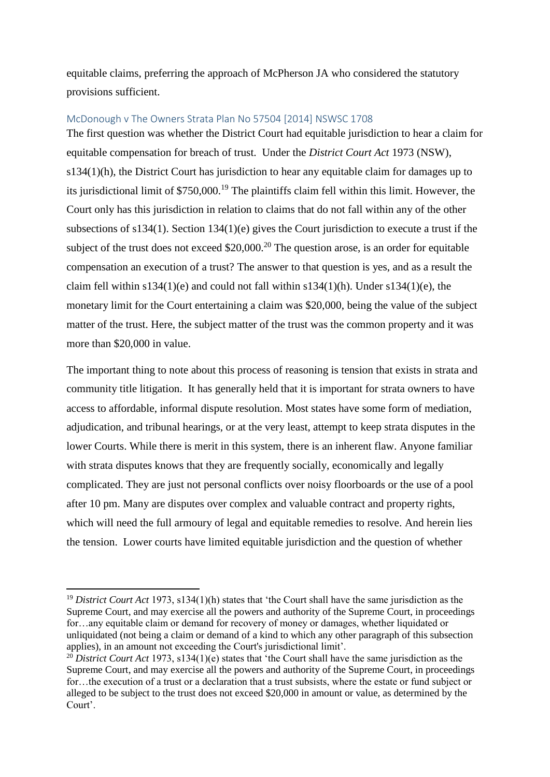equitable claims, preferring the approach of McPherson JA who considered the statutory provisions sufficient.

## McDonough v The Owners Strata Plan No 57504 [2014] NSWSC 1708

The first question was whether the District Court had equitable jurisdiction to hear a claim for equitable compensation for breach of trust. Under the *District Court Act* 1973 (NSW), s134(1)(h), the District Court has jurisdiction to hear any equitable claim for damages up to its jurisdictional limit of \$750,000.<sup>19</sup> The plaintiffs claim fell within this limit. However, the Court only has this jurisdiction in relation to claims that do not fall within any of the other subsections of s134(1). Section 134(1)(e) gives the Court jurisdiction to execute a trust if the subject of the trust does not exceed  $$20,000$ <sup>20</sup>. The question arose, is an order for equitable compensation an execution of a trust? The answer to that question is yes, and as a result the claim fell within  $s134(1)(e)$  and could not fall within  $s134(1)(h)$ . Under  $s134(1)(e)$ , the monetary limit for the Court entertaining a claim was \$20,000, being the value of the subject matter of the trust. Here, the subject matter of the trust was the common property and it was more than \$20,000 in value.

The important thing to note about this process of reasoning is tension that exists in strata and community title litigation. It has generally held that it is important for strata owners to have access to affordable, informal dispute resolution. Most states have some form of mediation, adjudication, and tribunal hearings, or at the very least, attempt to keep strata disputes in the lower Courts. While there is merit in this system, there is an inherent flaw. Anyone familiar with strata disputes knows that they are frequently socially, economically and legally complicated. They are just not personal conflicts over noisy floorboards or the use of a pool after 10 pm. Many are disputes over complex and valuable contract and property rights, which will need the full armoury of legal and equitable remedies to resolve. And herein lies the tension. Lower courts have limited equitable jurisdiction and the question of whether

1

<sup>19</sup> *District Court Act* 1973, s134(1)(h) states that 'the Court shall have the same jurisdiction as the Supreme Court, and may exercise all the powers and authority of the Supreme Court, in proceedings for…any equitable claim or demand for recovery of money or damages, whether liquidated or unliquidated (not being a claim or demand of a kind to which any other paragraph of this subsection applies), in an amount not exceeding the Court's jurisdictional limit'.

<sup>&</sup>lt;sup>20</sup> *District Court Act* 1973, s134(1)(e) states that 'the Court shall have the same jurisdiction as the Supreme Court, and may exercise all the powers and authority of the Supreme Court, in proceedings for…the execution of a trust or a declaration that a trust subsists, where the estate or fund subject or alleged to be subject to the trust does not exceed \$20,000 in amount or value, as determined by the Court'.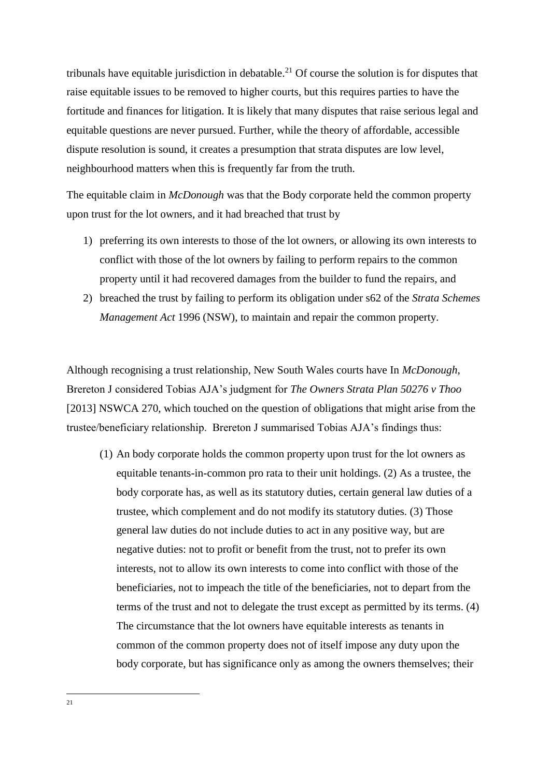tribunals have equitable jurisdiction in debatable.<sup>21</sup> Of course the solution is for disputes that raise equitable issues to be removed to higher courts, but this requires parties to have the fortitude and finances for litigation. It is likely that many disputes that raise serious legal and equitable questions are never pursued. Further, while the theory of affordable, accessible dispute resolution is sound, it creates a presumption that strata disputes are low level, neighbourhood matters when this is frequently far from the truth.

The equitable claim in *McDonough* was that the Body corporate held the common property upon trust for the lot owners, and it had breached that trust by

- 1) preferring its own interests to those of the lot owners, or allowing its own interests to conflict with those of the lot owners by failing to perform repairs to the common property until it had recovered damages from the builder to fund the repairs, and
- 2) breached the trust by failing to perform its obligation under s62 of the *Strata Schemes Management Act* 1996 (NSW), to maintain and repair the common property.

Although recognising a trust relationship, New South Wales courts have In *McDonough*, Brereton J considered Tobias AJA's judgment for *The Owners Strata Plan 50276 v Thoo*  [2013] NSWCA 270, which touched on the question of obligations that might arise from the trustee/beneficiary relationship. Brereton J summarised Tobias AJA's findings thus:

(1) An body corporate holds the common property upon trust for the lot owners as equitable tenants-in-common pro rata to their unit holdings. (2) As a trustee, the body corporate has, as well as its statutory duties, certain general law duties of a trustee, which complement and do not modify its statutory duties. (3) Those general law duties do not include duties to act in any positive way, but are negative duties: not to profit or benefit from the trust, not to prefer its own interests, not to allow its own interests to come into conflict with those of the beneficiaries, not to impeach the title of the beneficiaries, not to depart from the terms of the trust and not to delegate the trust except as permitted by its terms. (4) The circumstance that the lot owners have equitable interests as tenants in common of the common property does not of itself impose any duty upon the body corporate, but has significance only as among the owners themselves; their